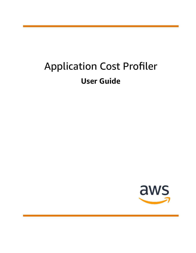# Application Cost Profiler **User Guide**

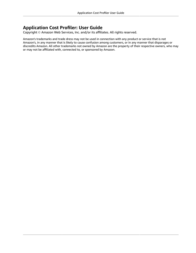### **Application Cost Profiler: User Guide**

Copyright © Amazon Web Services, Inc. and/or its affiliates. All rights reserved.

Amazon's trademarks and trade dress may not be used in connection with any product or service that is not Amazon's, in any manner that is likely to cause confusion among customers, or in any manner that disparages or discredits Amazon. All other trademarks not owned by Amazon are the property of their respective owners, who may or may not be affiliated with, connected to, or sponsored by Amazon.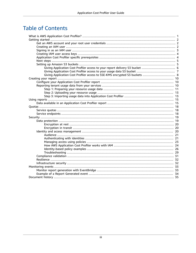# **Table of Contents**

| Giving Application Cost Profiler access to SSE-KMS encrypted S3 buckets  8 |  |
|----------------------------------------------------------------------------|--|
|                                                                            |  |
|                                                                            |  |
|                                                                            |  |
|                                                                            |  |
|                                                                            |  |
|                                                                            |  |
|                                                                            |  |
|                                                                            |  |
|                                                                            |  |
|                                                                            |  |
|                                                                            |  |
|                                                                            |  |
|                                                                            |  |
|                                                                            |  |
|                                                                            |  |
|                                                                            |  |
|                                                                            |  |
|                                                                            |  |
|                                                                            |  |
|                                                                            |  |
|                                                                            |  |
|                                                                            |  |
|                                                                            |  |
|                                                                            |  |
|                                                                            |  |
|                                                                            |  |
|                                                                            |  |
|                                                                            |  |
|                                                                            |  |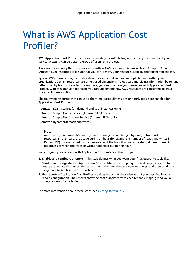# <span id="page-3-0"></span>What is AWS Application Cost Profiler?

AWS Application Cost Profiler helps you separate your AWS billing and costs by the tenants of your service. A *tenant* can be a user, a group of users, or a project.

A *resource* is an entity that users can work with in AWS, such as an Amazon Elastic Compute Cloud (Amazon EC2) instance. Make sure that you can identify your resource usage by the tenant you choose.

Typical AWS resource usage includes shared services that support multiple tenants within your organization. Certain resources use time-based dimensions. To get cost and billing information by tenant rather than by hourly usage for the resource, you can integrate your resources with Application Cost Profiler. With this granular approach, you can understand how AWS resources are consumed across a shared software solution.

The following resources that can use either time-based dimensions or hourly usage are enabled for Application Cost Profiler:

- Amazon EC2 instances (on demand and spot instances only)
- Amazon Simple Queue Service (Amazon SQS) queues
- Amazon Simple Notification Service (Amazon SNS) topics
- Amazon DynamoDB reads and writes

#### **Note**

Amazon SQS, Amazon SNS, and DynamoDB usage is not charged by time, unlike most resources. In their case, the usage during an hour (for example, a number of reads and writes in DynamoDB), is categorized by the percentage of the hour that you allocate to different tenants, regardless of when the reads or writes happened during the hour.

You integrate your services with Application Cost Profiler in three steps:

- 1. **Enable and configure a report** This step defines what you want your final output to look like.
- 2. **Send tenant usage data to Application Cost Profiler** This step requires code in your service to create usage data that associates tenants with the time they use your resources, and then send that usage data to Application Cost Profiler.
- 3. **Get reports** Application Cost Profiler provides reports at the cadence that you specified in your report configuration. The reports show the cost associated with each tenant's usage, giving you a granular view of your billing.

For more information about these steps, see *[Getting](#page-4-0) started* [\(p. 2\)](#page-4-0).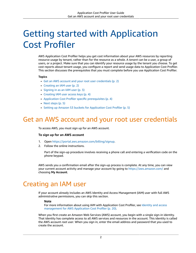# <span id="page-4-0"></span>Getting started with Application Cost Profiler

AWS Application Cost Profiler helps you get cost information about your AWS resources by reporting resource usage by tenant, rather than for the resource as a whole. A *tenant* can be a user, a group of users, or a project. Make sure that you can identify your resource usage by the tenant you choose. To get cost reports about tenant usage, you configure a report and send usage data to Application Cost Profiler. This section discusses the prerequisites that you must complete before you use Application Cost Profiler.

#### **Topics**

- Get an AWS account and your root user [credentials \(p. 2\)](#page-4-1)
- Creating an IAM [user \(p. 2\)](#page-4-2)
- [Signing in as an IAM user \(p. 3\)](#page-5-0)
- Creating IAM user access [keys \(p. 4\)](#page-6-0)
- Application Cost Profiler specific [prerequisites \(p. 4\)](#page-6-1)
- Next [steps \(p. 5\)](#page-7-0)
- Setting up Amazon S3 buckets for Application Cost [Profiler \(p. 5\)](#page-7-1)

## <span id="page-4-1"></span>Get an AWS account and your root user credentials

To access AWS, you must sign up for an AWS account.

#### **To sign up for an AWS account**

- 1. Open [https://portal.aws.amazon.com/billing/signup.](https://portal.aws.amazon.com/billing/signup)
- 2. Follow the online instructions.

Part of the sign-up procedure involves receiving a phone call and entering a verification code on the phone keypad.

AWS sends you a confirmation email after the sign-up process is complete. At any time, you can view your current account activity and manage your account by going to <https://aws.amazon.com/>and choosing **My Account**.

## <span id="page-4-2"></span>Creating an IAM user

If your account already includes an AWS Identity and Access Management (IAM) user with full AWS administrative permissions, you can skip this section.

#### **Note**

For more information about using IAM with Application Cost Profiler, see [Identity](#page-22-2) and access [management](#page-22-2) for AWS Application Cost Profiler [\(p. 20\).](#page-22-2)

When you first create an Amazon Web Services (AWS) account, you begin with a single sign-in identity. That identity has complete access to all AWS services and resources in the account. This identity is called the AWS account *root user*. When you sign in, enter the email address and password that you used to create the account.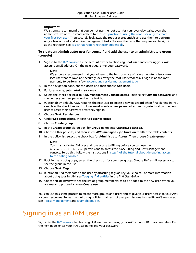### **Important**

We strongly recommend that you do not use the root user for your everyday tasks, even the administrative ones. Instead, adhere to the best [practice](https://docs.aws.amazon.com/IAM/latest/UserGuide/best-practices.html#create-iam-users) of using the root user only to create [your](https://docs.aws.amazon.com/IAM/latest/UserGuide/best-practices.html#create-iam-users) first IAM user. Then securely lock away the root user credentials and use them to perform only a few account and service management tasks. To view the tasks that require you to sign in as the root user, see Tasks that require root user [credentials](https://docs.aws.amazon.com/general/latest/gr/aws_tasks-that-require-root.html).

### **To create an administrator user for yourself and add the user to an administrators group (console)**

1. Sign in to the IAM [console](https://console.aws.amazon.com/iam/) as the account owner by choosing **Root user** and entering your AWS account email address. On the next page, enter your password.

#### **Note**

We strongly recommend that you adhere to the best practice of using the **Administrator** IAM user that follows and securely lock away the root user credentials. Sign in as the root user only to perform a few account and service [management](https://docs.aws.amazon.com/general/latest/gr/aws_tasks-that-require-root.html) tasks.

- 2. In the navigation pane, choose **Users** and then choose **Add users**.
- 3. For **User name**, enter **Administrator**.
- 4. Select the check box next to **AWS Management Console access**. Then select **Custom password**, and then enter your new password in the text box.
- 5. (Optional) By default, AWS requires the new user to create a new password when first signing in. You can clear the check box next to **User must create a new password at next sign-in** to allow the new user to reset their password after they sign in.
- 6. Choose **Next: Permissions**.
- 7. Under **Set permissions**, choose **Add user to group**.
- 8. Choose **Create group**.
- 9. In the **Create group** dialog box, for **Group name** enter **Administrators**.
- 10. Choose **Filter policies**, and then select **AWS managed - job function** to filter the table contents.
- 11. In the policy list, select the check box for **AdministratorAccess**. Then choose **Create group**.

#### **Note**

You must activate IAM user and role access to Billing before you can use the AdministratorAccess permissions to access the AWS Billing and Cost Management console. To do this, follow the instructions in step 1 of the tutorial about [delegating](https://docs.aws.amazon.com/IAM/latest/UserGuide/tutorial_billing.html) access to the billing [console](https://docs.aws.amazon.com/IAM/latest/UserGuide/tutorial_billing.html).

- 12. Back in the list of groups, select the check box for your new group. Choose **Refresh** if necessary to see the group in the list.
- 13. Choose **Next: Tags**.
- 14. (Optional) Add metadata to the user by attaching tags as key-value pairs. For more information about using tags in IAM, see [Tagging](https://docs.aws.amazon.com/IAM/latest/UserGuide/id_tags.html) IAM entities in the *IAM User Guide*.
- 15. Choose **Next: Review** to see the list of group memberships to be added to the new user. When you are ready to proceed, choose **Create user**.

You can use this same process to create more groups and users and to give your users access to your AWS account resources. To learn about using policies that restrict user permissions to specific AWS resources, see Access [management](https://docs.aws.amazon.com/IAM/latest/UserGuide/access.html) and [Example policies.](https://docs.aws.amazon.com/IAM/latest/UserGuide/access_policies_examples.html)

# <span id="page-5-0"></span>Signing in as an IAM user

Sign in to the IAM [console](https://console.aws.amazon.com/iam) by choosing **IAM user** and entering your AWS account ID or account alias. On the next page, enter your IAM user name and your password.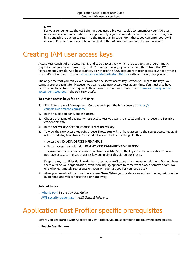#### **Note**

For your convenience, the AWS sign-in page uses a browser cookie to remember your IAM user name and account information. If you previously signed in as a different user, choose the sign-in link beneath the button to return to the main sign-in page. From there, you can enter your AWS account ID or account alias to be redirected to the IAM user sign-in page for your account.

# <span id="page-6-0"></span>Creating IAM user access keys

Access keys consist of an access key ID and secret access key, which are used to sign programmatic requests that you make to AWS. If you don't have access keys, you can create them from the AWS Management Console. As a best practice, do not use the AWS account root user access keys for any task where it's not required. Instead, create a new [administrator](https://docs.aws.amazon.com/IAM/latest/UserGuide/getting-started_create-admin-group.html) IAM user with access keys for yourself.

The only time that you can view or download the secret access key is when you create the keys. You cannot recover them later. However, you can create new access keys at any time. You must also have permissions to perform the required IAM actions. For more information, see [Permissions](https://docs.aws.amazon.com/IAM/latest/UserGuide/access_permissions-required.html) required to access IAM [resources](https://docs.aws.amazon.com/IAM/latest/UserGuide/access_permissions-required.html) in the *IAM User Guide*.

#### **To create access keys for an IAM user**

- 1. Sign in to the AWS Management Console and open the IAM console at [https://](https://console.aws.amazon.com/iam/) [console.aws.amazon.com/iam/](https://console.aws.amazon.com/iam/).
- 2. In the navigation pane, choose **Users**.
- 3. Choose the name of the user whose access keys you want to create, and then choose the **Security credentials** tab.
- 4. In the **Access keys** section, choose **Create access key**.
- 5. To view the new access key pair, choose **Show**. You will not have access to the secret access key again after this dialog box closes. Your credentials will look something like this:
	- Access key ID: AKIAIOSFODNN7EXAMPLE
	- Secret access key: wJalrXUtnFEMI/K7MDENG/bPxRfiCYEXAMPLEKEY
- 6. To download the key pair, choose **Download .csv file**. Store the keys in a secure location. You will not have access to the secret access key again after this dialog box closes.

Keep the keys confidential in order to protect your AWS account and never email them. Do not share them outside your organization, even if an inquiry appears to come from AWS or Amazon.com. No one who legitimately represents Amazon will ever ask you for your secret key.

7. After you download the .csv file, choose **Close**. When you create an access key, the key pair is active by default, and you can use the pair right away.

#### **Related topics**

- [What is IAM?](https://docs.aws.amazon.com/IAM/latest/UserGuide/introduction.html) in the *IAM User Guide*
- AWS security [credentials](https://docs.aws.amazon.com/general/latest/gr/aws-security-credentials.html) in *AWS General Reference*

# <span id="page-6-1"></span>Application Cost Profiler specific prerequisites

Before you get started with Application Cost Profiler, you must complete the following prerequisites:

• **Enable Cost Explorer**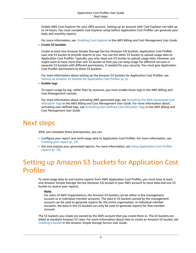Enable AWS Cost Explorer for your AWS account. Setting up an account with Cost Explorer can take up to 24 hours. You must complete Cost Explorer setup before Application Cost Profiler can generate your daily and monthly reports.

For more information, see [Enabling](https://docs.aws.amazon.com/awsaccountbilling/latest/aboutv2/ce-enable.html) Cost Explorer in the *AWS Billing and Cost Management User Guide*.

• **Create S3 buckets**

Create at least two Amazon Simple Storage Service (Amazon S3) buckets. Application Cost Profiler uses one S3 bucket to provide reports to you. You use the other S3 bucket to upload usage data to Application Cost Profiler. Typically, you only need one S3 bucket to upload usage data. However, you might want to have more than one S3 bucket so that you can keep usage for different services in separate S3 buckets with different permissions, if needed for your security. You must give Application Cost Profiler permissions to these S3 buckets.

For more information about setting up the Amazon S3 buckets for Application Cost Profiler, see Setting up Amazon S3 buckets for [Application](#page-7-1) Cost Profile[r \(p. 5\).](#page-7-1)

• **Enable tags**

To report usage by tag, rather than by resource, you must enable those tags in the AWS Billing and Cost Management console.

For more information about activating AWS generated tags, see Activating the [AWS-Generated](https://docs.aws.amazon.com/awsaccountbilling/latest/aboutv2/activate-built-in-tags.html) Cost [Allocation](https://docs.aws.amazon.com/awsaccountbilling/latest/aboutv2/activate-built-in-tags.html) Tags in the *AWS Billing and Cost Management User Guide*. For more information about activating user-defined tags, see Activating [User-Defined](https://docs.aws.amazon.com/awsaccountbilling/latest/aboutv2/activating-tags.html) Cost Allocation Tags in the *AWS Billing and Cost Management User Guide*.

# <span id="page-7-0"></span>Next steps

After you complete these prerequisites, you can:

- Configure your report and send usage data to Application Cost Profiler. For more information, see [Creating](#page-12-0) your repor[t \(p. 10\)](#page-12-0).
- Get and analyze your generated reports. For more information, see Using [Application](#page-17-0) Cost Profiler [reports \(p. 15\)](#page-17-0).

# <span id="page-7-1"></span>Setting up Amazon S3 buckets for Application Cost Profiler

To send usage data to and receive reports from AWS Application Cost Profiler, you must have at least one Amazon Simple Storage Service (Amazon S3) bucket in your AWS account to store data and one S3 bucket to receive your reports.

#### **Note**

For users of AWS Organizations, the Amazon S3 buckets can be either in the management account or in individual member accounts. The data in S3 buckets owned by the management account can be used to generate reports for the entire organization. In individual member accounts, the data in the S3 buckets can only be used to generate reports for that member account.

The S3 buckets you create are owned by the AWS account that you create them in. The S3 buckets are billed at standard Amazon S3 rates. For more information about how to create an Amazon S3 bucket, see [Creating](https://docs.aws.amazon.com/AmazonS3/latest/userguide/create-bucket-overview.html) a bucket in the *Amazon Simple Storage Service User Guide*.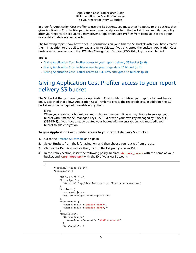In order for Application Cost Profiler to use the S3 buckets, you must attach a policy to the buckets that gives Application Cost Profiler permissions to read and/or write to the bucket. If you modify the policy after your reports are set up, you may prevent Application Cost Profiler from being able to read your usage data or deliver your reports.

The following topics show how to set up permissions on your Amazon S3 buckets after you have created them. In addition to the ability to read and write objects, if you encrypted the buckets, Application Cost Profiler must have access to the AWS Key Management Service (AWS KMS) key for each bucket.

#### **Topics**

- Giving Application Cost Profiler access to your report delivery S3 [bucket \(p. 6\)](#page-8-0)
- Giving Application Cost Profiler access to your usage data S3 [bucket \(p. 7\)](#page-9-0)
- Giving Application Cost Profiler access to SSE-KMS encrypted S3 [buckets \(p. 8\)](#page-10-0)

### <span id="page-8-0"></span>Giving Application Cost Profiler access to your report delivery S3 bucket

The S3 bucket that you configure for Application Cost Profiler to deliver your reports to must have a policy attached that allows Application Cost Profiler to create the report objects. In addition, the S3 bucket must be configured to enable encryption.

#### **Note**

When you create your bucket, you must choose to encrypt it. You may choose to encrypt your bucket with Amazon S3-managed keys (SSE-S3) or with your own key managed by AWS KMS (SSE-KMS). If you have already created your bucket with no encryption, you must edit your bucket to add encryption.

#### **To give Application Cost Profiler access to your report delivery S3 bucket**

- 1. Go to the [Amazon](https://s3.console.aws.amazon.com/s3/home?region=us-east-1) S3 console and sign in.
- 2. Select **Buckets** from the left navigation, and then choose your bucket from the list.
- 3. Choose the **Permissions** tab, then, next to **Bucket policy**, choose **Edit**.
- 4. In the **Policy** section, insert the following policy. Replace *<bucket\_name>* with the name of your bucket, and *<AWS account>* with the ID of your AWS account.

```
{
       "Version":"2008-10-17",
       "Statement":[
         {
           "Effect":"Allow",
            "Principal":{
             "Service":"application-cost-profiler.amazonaws.com"
           },
            "Action":[
             "s3:PutObject*",
              "s3:GetEncryptionConfiguration"
           ],
            "Resource": [
             "arn:aws:s3:::<bucket-name>",
              "arn:aws:s3:::<bucket-name>/*"
           ],
            "Condition": {
              "StringEquals": {
                "aws:SourceAccount": "<AWS account>"
              },
              "ArnEquals": {
```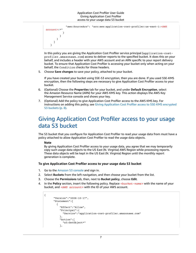```
 "aws:SourceArn": "arn:aws:application-cost-profiler:us-east-1:<AWS
 account>:*"
 }
          }
        }
      ]
    }
```
In this policy you are giving the Application Cost Profiler service principal (application-costprofiler.amazonaws.com) access to deliver reports to the specified bucket. It does this on your behalf, and includes a header with your AWS account and an ARN specific to your report delivery bucket. To ensure that Application Cost Profiler is accessing your bucket only when acting on your behalf, the Condition checks for those headers.

5. Choose **Save changes** to save your policy, attached to your bucket.

If you have created your bucket using SSE-S3 encryption, then you are done. If you used SSE-KMS encryption, then the following steps are necessary to give Application Cost Profiler access to your bucket.

- 6. (Optional) Choose the **Properties** tab for your bucket, and under **Default Encryption**, select the Amazon Resource Name (ARN) for your AWS KMS key. This action displays the AWS Key Management Service console and shows your key.
- 7. (Optional) Add the policy to give Application Cost Profiler access to the AWS KMS key. For instructions on adding this policy, see Giving [Application](#page-10-0) Cost Profiler access to SSE-KMS encrypted S3 [buckets \(p. 8\)](#page-10-0).

### <span id="page-9-0"></span>Giving Application Cost Profiler access to your usage data S3 bucket

The S3 bucket that you configure for Application Cost Profiler to read your usage data from must have a policy attached to allow Application Cost Profiler to read the usage data objects.

#### **Note**

By giving Application Cost Profiler access to your usage data, you agree that we may temporarily copy such usage data objects to the US East (N. Virginia) AWS Region while processing reports. These data objects will be kept in the US East (N. Virginia) Region until the monthly report generation is complete.

#### **To give Application Cost Profiler access to your usage data S3 bucket**

- 1. Go to the [Amazon](https://s3.console.aws.amazon.com/s3/home?region=us-east-1) S3 console and sign in.
- 2. Select **Buckets** from the left navigation, and then choose your bucket from the list.
- 3. Choose the **Permissions** tab, then, next to **Bucket policy**, choose **Edit**.
- 4. In the **Policy** section, insert the following policy. Replace *<bucket-name>* with the name of your bucket, and *<AWS account>* with the ID of your AWS account.

```
{
       "Version":"2008-10-17",
       "Statement":[
         {
            "Effect":"Allow",
            "Principal":{
              "Service":"application-cost-profiler.amazonaws.com"
            },
            "Action":[
              "s3:GetObject*"
            ],
```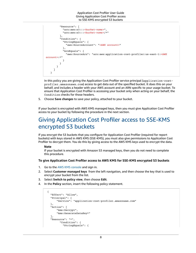#### Application Cost Profiler User Guide Giving Application Cost Profiler access to SSE-KMS encrypted S3 buckets

```
 "Resource": [
             "arn:aws:s3:::<bucket-name>",
             "arn:aws:s3:::<bucket-name>/*"
           ],
           "Condition": {
             "StringEquals": {
               "aws:SourceAccount": "<AWS account>"
             },
             "ArnEquals": {
               "aws:SourceArn": "arn:aws:application-cost-profiler:us-east-1:<AWS
 account>:*"
 }
           }
         }
       ]
    }
```
In this policy you are giving the Application Cost Profiler service principal (application-costprofiler.amazonaws.com) access to get data out of the specified bucket. It does this on your behalf, and includes a header with your AWS account and an ARN specific to your usage bucket. To ensure that Application Cost Profiler is accessing your bucket only when acting on your behalf, the Condition checks for those headers.

5. Choose **Save changes** to save your policy, attached to your bucket.

If your bucket is encrypted with AWS KMS managed keys, then you must give Application Cost Profiler access to your bucket by following the procedure in the next section.

### <span id="page-10-0"></span>Giving Application Cost Profiler access to SSE-KMS encrypted S3 buckets

If you encrypt the S3 buckets that you configure for Application Cost Profiler (required for report buckets) with keys stored in AWS KMS (SSE-KMS), you must also give permissions to Application Cost Profiler to decrypt them. You do this by giving access to the AWS KMS keys used to encrypt the data.

#### **Note**

If your bucket is encrypted with Amazon S3 managed keys, then you do not need to complete this procedure.

#### **To give Application Cost Profiler access to AWS KMS for SSE-KMS encrypted S3 buckets**

- 1. Go to the AWS KMS [console](https://console.aws.amazon.com/kms/home?region=us-east-1) and sign in.
- 2. Select **Customer managed keys** from the left navigation, and then choose the key that is used to encrypt your bucket from the list.
- 3. Select **Switch to policy view**, then choose **Edit**.
- 4. In the **Policy** section, insert the following policy statement.

```
 {
   "Effect": "Allow",
   "Principal": {
       "Service": "application-cost-profiler.amazonaws.com"
   },
   "Action": [
       "kms:Decrypt",
       "kms:GenerateDataKey*"
   ],
   "Resource": "*",
         "Condition": {
            "StringEquals": {
```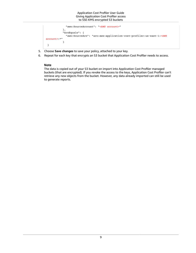```
 "aws:SourceAccount": "<AWS account>"
            },
            "ArnEquals": {
              "aws:SourceArn": "arn:aws:application-cost-profiler:us-east-1:<AWS
 account>:*"
 }
  }
```
- 5. Choose **Save changes** to save your policy, attached to your key.
- 6. Repeat for each key that encrypts an S3 bucket that Application Cost Profiler needs to access.

### **Note**

The data is copied out of your S3 bucket on import into Application Cost Profiler managed buckets (that are encrypted). If you revoke the access to the keys, Application Cost Profiler can't retrieve any new objects from the bucket. However, any data already imported can still be used to generate reports.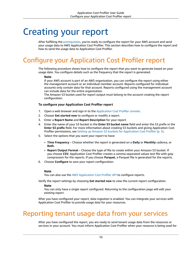# <span id="page-12-0"></span>Creating your report

After fulfilling the [prerequisites](https://docs.aws.amazon.com/application-cost-profiler/latest/userguide/getting-started.html#getting-started-prerequisites), you're ready to configure the report for your AWS account and send your usage data to AWS Application Cost Profiler. This section describes how to configure the report and how to send the usage data to Application Cost Profiler.

# <span id="page-12-1"></span>Configure your Application Cost Profiler report

The following procedure shows how to configure the report that you want to generate based on your usage date. You configure details such as the frequency that the report is generated.

#### **Note**

If your AWS account is part of an AWS organization, you can configure the report using either the management account or an individual member account. Reports configured for individual accounts only contain data for that account. Reports configured using the management account can include data for the entire organization.

The Amazon S3 bucket used for report output must belong to the account creating the report configuration.

### **To configure your Application Cost Profiler report**

- 1. Open a web browser and sign in to the [Application](https://console.aws.amazon.com/application-cost-profiler) Cost Profiler console.
- 2. Choose **Get started now** to configure or modify a report.
- 3. Enter a **Report Name** and **Report Description** for your report.
- 4. Enter the name of your S3 bucket in the **Enter S3 bucket name** field and enter the S3 prefix in the **Enter S3 prefix** field. For more information about creating S3 buckets and giving Application Cost Profiler permissions, see Setting up Amazon S3 buckets for [Application](#page-7-1) Cost Profiler [\(p. 5\)](#page-7-1).
- 5. Select the options that you want your report to have:
	- **Time Frequency** Choose whether the report is generated on a **Daily** or **Monthly** cadence, or **Both**.
	- **Report Output Format** Choose the type of file to create within your Amazon S3 bucket. If you choose **CSV**, Application Cost Profiler creates a comma-separated values text file with gzip compression for the reports. If you choose **Parquet**, a Parquet file is generated for the reports.
- 6. Choose **Configure** to save your report configuration.

#### **Note**

You can also use the AWS [Application](https://docs.aws.amazon.com/application-cost-profiler/latest/APIReference/Welcome.html) Cost Profiler API to configure reports.

Verify the report settings by choosing **Get started now** to view the current report configuration.

#### **Note**

You can only have a single report configured. Returning to the configuration page will edit your existing report.

After you have configured your report, data ingestion is enabled. You can integrate your services with Application Cost Profiler to provide usage data for your resources.

# <span id="page-12-2"></span>Reporting tenant usage data from your services

After you have configured the report, you are ready to send tenant usage data from the resources or services in your account. You must inform Application Cost Profiler when your resource is being used for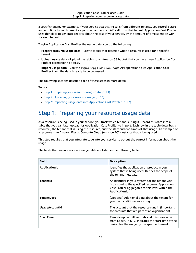a specific tenant. For example, if your service accepts API calls from different tenants, you record a start and end time for each tenant as you start and end an API call from that tenant. Application Cost Profiler uses that data to generate reports about the cost of your service, by the amount of time spent on work for each tenant.

To give Application Cost Profiler the usage data, you do the following:

- **Prepare resource usage data** Create tables that describe when a resource is used for a specific tenant.
- **Upload usage data** Upload the tables to an Amazon S3 bucket that you have given Application Cost Profiler permission to access.
- **Import usage data** Call the ImportApplicationUsage API operation to let Application Cost Profiler know the data is ready to be processed.

The following sections describe each of these steps in more detail.

#### **Topics**

- Step 1: Preparing your resource usage [data \(p. 11\)](#page-13-0)
- Step 2: Uploading your resource [usage \(p. 13\)](#page-15-0)
- Step 3: Importing usage data into Application Cost [Profiler \(p. 13\)](#page-15-1)

### <span id="page-13-0"></span>Step 1: Preparing your resource usage data

As a resource is being used in your service, you track which tenant is using it. Record this data into a table that you can later upload for Application Cost Profiler to import. Each row in the table describes a resource , the tenant that is using the resource, and the start and end times of that usage. An example of a resource is an Amazon Elastic Compute Cloud (Amazon EC2) instance that is being used.

This step requires that you integrate code into your service to output the correct information about the usage.

The fields that are in a resource usage table are listed in the following table.

| <b>Field</b>          | <b>Description</b>                                                                                                                                                         |
|-----------------------|----------------------------------------------------------------------------------------------------------------------------------------------------------------------------|
| ApplicationId         | Identifies the application or product in your<br>system that is being used. Defines the scope of<br>the tenant metadata.                                                   |
| Tenantid              | An identifier in your system for the tenant who<br>is consuming the specified resource. Application<br>Cost Profiler aggregates to this level within the<br>ApplicationId. |
| <b>TenantDesc</b>     | (Optional) Additional data about the tenant for<br>your own additional reporting.                                                                                          |
| <b>UsageAccountId</b> | The account that the resource runs in (important<br>for accounts that are part of an organization).                                                                        |
| <b>StartTime</b>      | Timestamp (in milliseconds and microseconds)<br>from Epoch, in UTC. Indicates the start time of the<br>period for the usage by the specified tenant.                       |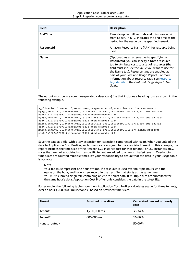| Field          | <b>Description</b>                                                                                                                                                                                                                                                                                                                                                                                               |
|----------------|------------------------------------------------------------------------------------------------------------------------------------------------------------------------------------------------------------------------------------------------------------------------------------------------------------------------------------------------------------------------------------------------------------------|
| <b>EndTime</b> | Timestamp (in milliseconds and microseconds)<br>from Epoch, in UTC. Indicates the end time of the<br>period for the usage by the specified tenant.                                                                                                                                                                                                                                                               |
| Resourceld     | Amazon Resource Name (ARN) for resource being<br>used.                                                                                                                                                                                                                                                                                                                                                           |
| <b>Name</b>    | (Optional) As an alternative to specifying a<br>Resourceld, you can specify a Name resource<br>tag to attribute costs to a set of resources (the<br>field must include the value you want to use for<br>the Name tag). Resource tags are enabled as<br>part of your Cost and Usage Report. For more<br>information about resource tags, see Resource<br>tags details in the Cost and Usage Report User<br>Guide. |

The output must be in a comma-separated values (.csv) file that includes a heading row, as shown in the following example.

```
ApplicationId,TenantId,TenantDesc,UsageAccountId,StartTime,EndTime,ResourceId
MyApp,Tenant1,,123456789012,1613681437032.9001,1613681437041.5312,arn:aws:ec2:us-
east-1:123456789012:instance/1234-abcd-example-1234
MyApp,Tenant2,,123456789012,1613681245531.4426,1613681245551.1323,arn:aws:ec2:us-
east-1:123456789012:instance/1234-abcd-example-1234
MyApp,Tenant1,,123456789012,1613681904815.3381,1613681904930.0972,arn:aws:ec2:us-
east-1:123456789012:instance/1234-abcd-example-1234
MyApp,Tenant2,,123456789012,1613681904765.1956,1613681904946.574,arn:aws:ec2:us-
east-1:123456789012:instance/1234-abcd-example-1234
```
Save the data as a file, with a .csv extension (or .csv.gzip if compressed with gzip). When you upload this data to Application Cost Profiler, each time slice is assigned to the associated tenant. In this example, the report includes the time slice of the Amazon EC2 instance cost for that tenant. For EC2 instances only, slices that are not associated with a specific tenant are added to an *unattributed* tenant. Overlapping time slices are counted multiple times. It's your responsibility to ensure that the data in your usage table is accurate.

#### **Note**

Your file must represent one hour of time. If a resource is used over multiple hours, end the usage on the hour, and have a new record in the next file that starts at the same time. You must submit a single file containing an entire hour's data. If multiple files are submitted for the same hour's data, Application Cost Profiler only considers the data in the latest file.

For example, the following table shows how Application Cost Profiler calculates usage for three tenants, over an hour (3,600,000 milliseconds), based on provided time slices.

| <b>Tenant</b>                 | <b>Provided time slices</b> | <b>Calculated percent of hourly</b><br>cost |
|-------------------------------|-----------------------------|---------------------------------------------|
| Tenant1                       | 1,200,000 ms                | 33.34%                                      |
| Tenant <sub>2</sub>           | 600,000 ms                  | 16.66%                                      |
| <unattributed></unattributed> |                             | 50.00%                                      |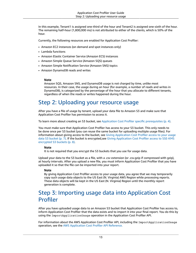In this example, Tenant1 is assigned one-third of the hour and Tenant2 is assigned one-sixth of the hour. The remaining half-hour (1,800,000 ms) is not attributed to either of the clients, which is 50% of the hour.

Currently, the following resources are enabled for Application Cost Profiler:

- Amazon EC2 instances (on demand and spot instances only)
- Lambda functions
- Amazon Elastic Container Service (Amazon ECS) instances
- Amazon Simple Queue Service (Amazon SQS) queues
- Amazon Simple Notification Service (Amazon SNS) topics
- Amazon DynamoDB reads and writes

#### **Note**

Amazon SQS, Amazon SNS, and DynamoDB usage is not charged by time, unlike most resources. In their case, the usage during an hour (for example, a number of reads and writes in DynamoDB), is categorized by the percentage of the hour that you allocate to different tenants, regardless of when the reads or writes happened during the hour.

### <span id="page-15-0"></span>Step 2: Uploading your resource usage

After you have a file of usage by tenant, upload your data file to Amazon S3 and make sure that Application Cost Profiler has permission to access it.

To learn more about creating an S3 bucket, see Application Cost Profiler specific [prerequisites \(p. 4\)](#page-6-1).

You must make sure that Application Cost Profiler has access to your S3 bucket. This only needs to be done once per S3 bucket (you can reuse the same bucket for uploading multiple usage files). For information about giving access to the bucket, see Giving [Application](#page-9-0) Cost Profiler access to your usage data S3 [bucket \(p. 7\).](#page-9-0) If the bucket is encrypted, see Giving [Application](#page-10-0) Cost Profiler access to SSE-KMS [encrypted](#page-10-0) S3 buckets [\(p. 8\)](#page-10-0).

#### **Note**

It is not required that you encrypt the S3 buckets that you use for usage data.

Upload your data to the S3 bucket as a file, with a .csv extension (or .csv.gzip if compressed with gzip), at hourly intervals. After you upload a new file, you must inform Application Cost Profiler that you have uploaded it so that the file can be imported into your report.

#### **Note**

By giving Application Cost Profiler access to your usage data, you agree that we may temporarily copy such usage data objects to the US East (N. Virginia) AWS Region while processing reports. These data objects will be kept in the US East (N. Virginia) Region until the monthly report generation is complete.

### <span id="page-15-1"></span>Step 3: Importing usage data into Application Cost Profiler

After you have uploaded usage data to an Amazon S3 bucket that Application Cost Profiler has access to, inform Application Cost Profiler that the data exists and to import it into your final report. You do this by using the ImportApplicationUsage operation in the Application Cost Profiler API.

For information about the AWS Application Cost Profiler API, including the ImportApplicationUsage operation, see the AWS [Application](https://docs.aws.amazon.com/application-cost-profiler/latest/APIReference/Welcome.html) Cost Profiler API Reference.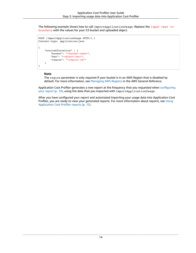The following example shows how to call ImportApplicationUsage. Replace the *input text in brackets* with the values for your S3 bucket and uploaded object.

```
POST /ImportApplicationUsage HTTP/1.1
Content-type: application/json
{
     "sourceS3Location" : {
         "bucket": "<bucket-name>",
         "key": "<object-key>",
         "region": "<region-id>"
     }
}
```
#### **Note**

The region parameter is only required if your bucket is in an AWS Region that is disabled by default. For more information, see [Managing](https://docs.aws.amazon.com/general/latest/gr/rande-manage.html) AWS Regions in the *AWS General Reference*.

Application Cost Profiler generates a new report at the frequency that you requested when [configuring](#page-12-1) your [report \(p. 10\)](#page-12-1), using the data that you imported with ImportApplicationUsage.

After you have configured your report and automated importing your usage data into Application Cost Profiler, you are ready to view your generated reports. For more information about reports, see [Using](#page-17-0) [Application](#page-17-0) Cost Profiler report[s \(p. 15\)](#page-17-0).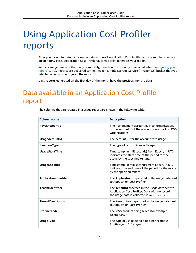# <span id="page-17-0"></span>Using Application Cost Profiler reports

After you have integrated your usage data with AWS Application Cost Profiler and are sending the data on an hourly basis, Application Cost Profiler automatically generates your report.

Reports are generated either daily or monthly, based on the option you selected when [configuring](#page-12-1) your [report \(p. 10\)](#page-12-1). Reports are delivered to the Amazon Simple Storage Service (Amazon S3) bucket that you selected when you configured the report.

Daily reports generated on the first day of the month have the previous month's data.

# <span id="page-17-1"></span>Data available in an Application Cost Profiler report

The columns that are created in a usage report are shown in the following table.

| Column name              | <b>Description</b>                                                                                                                                    |
|--------------------------|-------------------------------------------------------------------------------------------------------------------------------------------------------|
| PayerAccountId           | The management account ID in an organization,<br>or the account ID if the account is not part of AWS<br>Organizations.                                |
| <b>UsageAccountId</b>    | The account ID for the account with usage.                                                                                                            |
| LineItemType             | The type of record. Always Usage.                                                                                                                     |
| <b>UsageStartTime</b>    | Timestamp (in milliseconds) from Epoch, in UTC.<br>Indicates the start time of the period for the<br>usage by the specified tenant.                   |
| <b>UsageEndTime</b>      | Timestamp (in milliseconds) from Epoch, in UTC.<br>Indicates the end time of the period for the usage<br>by the specified tenant.                     |
| ApplicationIdentifier    | The ApplicationId specified in the usage data sent<br>to Application Cost Profiler.                                                                   |
| <b>TenantIdentifier</b>  | The Tenantid specified in the usage data sent to<br>Application Cost Profiler. Data with no record in<br>the usage data is collected in unattributed. |
| <b>TenantDescription</b> | The TenantDesc specified in the usage data sent<br>to Application Cost Profiler.                                                                      |
| <b>ProductCode</b>       | The AWS product being billed (for example,<br>AmazonEC2).                                                                                             |
| <b>UsageType</b>         | The type of usage being billed (for example,<br>BoxUsage: c5. large).                                                                                 |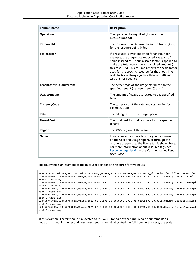| Column name                     | <b>Description</b>                                                                                                                                                                                                                                                                                                                                                                                             |
|---------------------------------|----------------------------------------------------------------------------------------------------------------------------------------------------------------------------------------------------------------------------------------------------------------------------------------------------------------------------------------------------------------------------------------------------------------|
| <b>Operation</b>                | The operation being billed (for example,<br>RunInstances).                                                                                                                                                                                                                                                                                                                                                     |
| <b>Resourceld</b>               | The resource ID or Amazon Resource Name (ARN)<br>for the resource being billed.                                                                                                                                                                                                                                                                                                                                |
| <b>ScaleFactor</b>              | If a resource is over-allocated for an hour, for<br>example, the usage data reported is equal to 2<br>hours instead of 1 hour, a scale factor is applied to<br>make the total equal the actual billed amount (in<br>this case, 0.5). This column reports the scale factor<br>used for the specific resource for that hour. The<br>scale factor is always greater than zero (0) and<br>less than or equal to 1. |
| <b>TenantAttributionPercent</b> | The percentage of the usage attributed to the<br>specified tenant (between zero (0) and 1).                                                                                                                                                                                                                                                                                                                    |
| <b>UsageAmount</b>              | The amount of usage attributed to the specified<br>tenant.                                                                                                                                                                                                                                                                                                                                                     |
| <b>CurrencyCode</b>             | The currency that the rate and cost are in (for<br>example, USD).                                                                                                                                                                                                                                                                                                                                              |
| Rate                            | The billing rate for the usage, per unit.                                                                                                                                                                                                                                                                                                                                                                      |
| <b>TenantCost</b>               | The total cost for that resource for the specified<br>tenant.                                                                                                                                                                                                                                                                                                                                                  |
| Region                          | The AWS Region of the resource.                                                                                                                                                                                                                                                                                                                                                                                |
| <b>Name</b>                     | If you created resource tags for your resources<br>on the Cost and Usage report, or through the<br>resource usage data, the Name tag is shown here.<br>For more information about resource tags, see<br>Resource tags details in the Cost and Usage Report<br>User Guide.                                                                                                                                      |

The following is an example of the output report for one resource for two hours.

```
PayerAccountId, UsageAccountId, LineItemType, UsageStartTime, UsageEndTime, ApplicationIdentifier, TenantIder
123456789012,123456789012,Usage,2021-02-01T00:00:00.000Z,2021-02-01T00:30:00.000Z,Canary,unattributed,
east-1,test-tag
123456789012,123456789012,Usage,2021-02-01T00:30:00.000Z,2021-02-01T01:00:00.000Z,Canary,Tenant1,exampl
east-1,test-tag
123456789012,123456789012,Usage,2021-02-01T01:00:00.000Z,2021-02-01T02:00:00.000Z,Canary,Tenant4,exampl
east-1,test-tag
123456789012,123456789012,Usage,2021-02-01T01:00:00.000Z,2021-02-01T02:00:00.000Z,Canary,Tenant3,exampl
east-1,test-tag
123456789012,123456789012,Usage,2021-02-01T01:00:00.000Z,2021-02-01T02:00:00.000Z,Canary,Tenant2,exampl
east-1,test-tag
123456789012,123456789012,Usage,2021-02-01T01:00:00.000Z,2021-02-01T02:00:00.000Z,Canary,Tenant1,exampl
east-1,test-tag
```
In this example, the first hour is allocated to Tenant1 for half of the time. A half hour remains as unattributed. In the second hour, four tenants are all allocated the full hour. In this case, the scale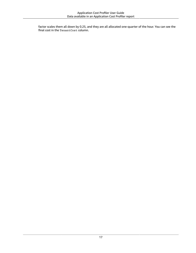factor scales them all down by 0.25, and they are all allocated one-quarter of the hour. You can see the final cost in the TenantCost column.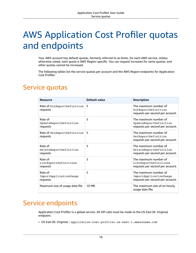# <span id="page-20-0"></span>AWS Application Cost Profiler quotas and endpoints

Your AWS account has default quotas, formerly referred to as limits, for each AWS service. Unless otherwise noted, each quota is AWS Region-specific. You can request increases for some quotas, and other quotas cannot be increased.

The following tables list the service quotas per account and the AWS Region endpoints for Application Cost Profiler.

## <span id="page-20-1"></span>Service quotas

| <b>Resource</b>                               | Default value | <b>Description</b>                                                                  |
|-----------------------------------------------|---------------|-------------------------------------------------------------------------------------|
| Rate of PutReportDefinition<br>requests       | 5             | The maximum number of<br>PutReportDefinition<br>requests per second per account.    |
| Rate of<br>UpdateReportDefinition<br>requests | 5             | The maximum number of<br>UpdateReportDefinition<br>requests per second per account. |
| Rate of GetReportDefinition<br>requests       | 5             | The maximum number of<br>GetReportDefinition<br>requests per second per account.    |
| Rate of<br>DeleteReportDefinition<br>requests | 5             | The maximum number of<br>DeleteReportDefinition<br>requests per second per account. |
| Rate of<br>ListReportDefinitions<br>requests  | 5             | The maximum number of<br>ListReportDefinitions<br>requests per second per account.  |
| Rate of<br>ImportApplicationUsage<br>requests | 5             | The maximum number of<br>ImportApplicationUsage<br>requests per second per account. |
| Maximum size of usage data file               | 10 MB         | The maximum size of an hourly<br>usage data file.                                   |

## <span id="page-20-2"></span>Service endpoints

Application Cost Profiler is a global service. All API calls must be made to the US East (N. Virginia) endpoint.

• US East (N. Virginia) – application-cost-profiler.us-east-1.amazonaws.com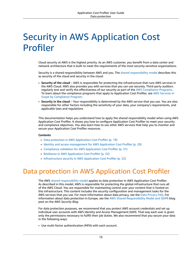# <span id="page-21-0"></span>Security in AWS Application Cost Profiler

Cloud security at AWS is the highest priority. As an AWS customer, you benefit from a data center and network architecture that is built to meet the requirements of the most security-sensitive organizations.

Security is a shared [responsibility](http://aws.amazon.com/compliance/shared-responsibility-model/) between AWS and you. The shared responsibility model describes this as security of the cloud and security in the cloud:

- **Security of the cloud** AWS is responsible for protecting the infrastructure that runs AWS services in the AWS Cloud. AWS also provides you with services that you can use securely. Third-party auditors regularly test and verify the effectiveness of our security as part of the AWS [Compliance](http://aws.amazon.com/compliance/programs/) Programs. To learn about the compliance programs that apply to Application Cost Profiler, see AWS [Services](http://aws.amazon.com/compliance/services-in-scope/) in Scope by [Compliance](http://aws.amazon.com/compliance/services-in-scope/) Program.
- **Security in the cloud** Your responsibility is determined by the AWS service that you use. You are also responsible for other factors including the sensitivity of your data, your company's requirements, and applicable laws and regulations

This documentation helps you understand how to apply the shared responsibility model when using AWS Application Cost Profiler. It shows you how to configure Application Cost Profiler to meet your security and compliance objectives. You also learn how to use other AWS services that help you to monitor and secure your Application Cost Profiler resources.

#### **Contents**

- Data protection in AWS Application Cost [Profiler \(p. 19\)](#page-21-1)
- Identity and access management for AWS Application Cost [Profiler \(p. 20\)](#page-22-2)
- Compliance validation for AWS Application Cost [Profiler \(p. 31\)](#page-33-0)
- Resilience in AWS Application Cost [Profiler \(p. 32\)](#page-34-0)
- Infrastructure security in AWS Application Cost [Profiler \(p. 32\)](#page-34-1)

# <span id="page-21-1"></span>Data protection in AWS Application Cost Profiler

The AWS shared [responsibility](http://aws.amazon.com/compliance/shared-responsibility-model/) model applies to data protection in AWS Application Cost Profiler. As described in this model, AWS is responsible for protecting the global infrastructure that runs all of the AWS Cloud. You are responsible for maintaining control over your content that is hosted on this infrastructure. This content includes the security configuration and management tasks for the AWS services that you use. For more information about data privacy, see the Data [Privacy](http://aws.amazon.com/compliance/data-privacy-faq) FAQ. For information about data protection in Europe, see the AWS Shared [Responsibility](http://aws.amazon.com/blogs/security/the-aws-shared-responsibility-model-and-gdpr/) Model and GDPR blog post on the *AWS Security Blog*.

For data protection purposes, we recommend that you protect AWS account credentials and set up individual user accounts with AWS Identity and Access Management (IAM). That way each user is given only the permissions necessary to fulfill their job duties. We also recommend that you secure your data in the following ways:

• Use multi-factor authentication (MFA) with each account.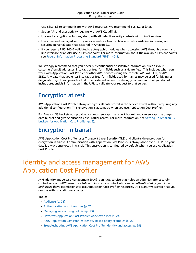- Use SSL/TLS to communicate with AWS resources. We recommend TLS 1.2 or later.
- Set up API and user activity logging with AWS CloudTrail.
- Use AWS encryption solutions, along with all default security controls within AWS services.
- Use advanced managed security services such as Amazon Macie, which assists in discovering and securing personal data that is stored in Amazon S3.
- If you require FIPS 140-2 validated cryptographic modules when accessing AWS through a command line interface or an API, use a FIPS endpoint. For more information about the available FIPS endpoints, see Federal [Information](http://aws.amazon.com/compliance/fips/) Processing Standard (FIPS) 140-2.

We strongly recommend that you never put confidential or sensitive information, such as your customers' email addresses, into tags or free-form fields such as a **Name** field. This includes when you work with Application Cost Profiler or other AWS services using the console, API, AWS CLI, or AWS SDKs. Any data that you enter into tags or free-form fields used for names may be used for billing or diagnostic logs. If you provide a URL to an external server, we strongly recommend that you do not include credentials information in the URL to validate your request to that server.

## <span id="page-22-0"></span>Encryption at rest

AWS Application Cost Profiler always encrypts all data stored in the service at rest without requiring any additional configuration. This encryption is automatic when you use Application Cost Profiler.

For Amazon S3 buckets you provide, you must encrypt the report bucket, and can encrypt the usage data bucket and give Application Cost Profiler access. For more information, see Setting up [Amazon](#page-7-1) S3 buckets for [Application](#page-7-1) Cost Profiler [\(p. 5\)](#page-7-1).

### <span id="page-22-1"></span>Encryption in transit

AWS Application Cost Profiler uses Transport Layer Security (TLS) and client-side encryption for encryption in transit. Communication with Application Cost Profiler is always done over HTTPS so your data is always encrypted in transit. This encryption is configured by default when you use Application Cost Profiler.

# <span id="page-22-2"></span>Identity and access management for AWS Application Cost Profiler

AWS Identity and Access Management (IAM) is an AWS service that helps an administrator securely control access to AWS resources. IAM administrators control who can be *authenticated* (signed in) and *authorized* (have permissions) to use Application Cost Profiler resources. IAM is an AWS service that you can use with no additional charge.

### **Topics**

- [Audience \(p. 21\)](#page-23-0)
- [Authenticating with identities \(p. 21\)](#page-23-1)
- Managing access using [policies \(p. 23\)](#page-25-0)
- How AWS [Application](#page-26-0) Cost Profiler works with IAM (p. 24)
- AWS Application Cost Profiler identity-based policy [examples \(p. 26\)](#page-28-0)
- [Troubleshooting](#page-31-0) AWS Application Cost Profiler identity and access (p. 29)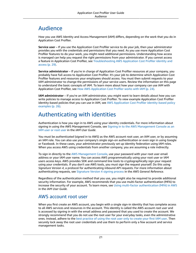## <span id="page-23-0"></span>Audience

How you use AWS Identity and Access Management (IAM) differs, depending on the work that you do in Application Cost Profiler.

**Service user** – If you use the Application Cost Profiler service to do your job, then your administrator provides you with the credentials and permissions that you need. As you use more Application Cost Profiler features to do your work, you might need additional permissions. Understanding how access is managed can help you request the right permissions from your administrator. If you cannot access a feature in Application Cost Profiler, see [Troubleshooting](#page-31-0) AWS Application Cost Profiler identity and [access \(p. 29\).](#page-31-0)

**Service administrator** – If you're in charge of Application Cost Profiler resources at your company, you probably have full access to Application Cost Profiler. It's your job to determine which Application Cost Profiler features and resources your employees should access. You must then submit requests to your IAM administrator to change the permissions of your service users. Review the information on this page to understand the basic concepts of IAM. To learn more about how your company can use IAM with Application Cost Profiler, see How AWS [Application](#page-26-0) Cost Profiler works with IAM [\(p. 24\).](#page-26-0)

**IAM administrator** – If you're an IAM administrator, you might want to learn details about how you can write policies to manage access to Application Cost Profiler. To view example Application Cost Profiler identity-based policies that you can use in IAM, see AWS Application Cost Profiler [identity-based](#page-28-0) policy [examples \(p. 26\)](#page-28-0).

### <span id="page-23-1"></span>Authenticating with identities

Authentication is how you sign in to AWS using your identity credentials. For more information about signing in using the AWS Management Console, see Signing in to the AWS [Management](https://docs.aws.amazon.com/IAM/latest/UserGuide/console.html) Console as an IAM [user](https://docs.aws.amazon.com/IAM/latest/UserGuide/console.html) or root user in the *IAM User Guide*.

You must be *authenticated* (signed in to AWS) as the AWS account root user, an IAM user, or by assuming an IAM role. You can also use your company's single sign-on authentication or even sign in using Google or Facebook. In these cases, your administrator previously set up identity federation using IAM roles. When you access AWS using credentials from another company, you are assuming a role indirectly.

To sign in directly to the AWS [Management](https://console.aws.amazon.com/) Console, use your password with your root user email address or your IAM user name. You can access AWS programmatically using your root user or IAM users access keys. AWS provides SDK and command line tools to cryptographically sign your request using your credentials. If you don't use AWS tools, you must sign the request yourself. Do this using *Signature Version 4*, a protocol for authenticating inbound API requests. For more information about authenticating requests, see [Signature](https://docs.aws.amazon.com/general/latest/gr/signature-version-4.html) Version 4 signing process in the *AWS General Reference*.

Regardless of the authentication method that you use, you might also be required to provide additional security information. For example, AWS recommends that you use multi-factor authentication (MFA) to increase the security of your account. To learn more, see Using multi-factor [authentication](https://docs.aws.amazon.com/IAM/latest/UserGuide/id_credentials_mfa.html) (MFA) in AWS in the *IAM User Guide*.

### AWS account root user

When you first create an AWS account, you begin with a single sign-in identity that has complete access to all AWS services and resources in the account. This identity is called the AWS account *root user* and is accessed by signing in with the email address and password that you used to create the account. We strongly recommend that you do not use the root user for your everyday tasks, even the administrative ones. Instead, adhere to the best [practice](https://docs.aws.amazon.com/IAM/latest/UserGuide/best-practices.html#create-iam-users) of using the root user only to create your first IAM user. Then securely lock away the root user credentials and use them to perform only a few account and service management tasks.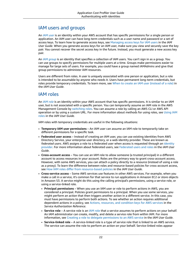### IAM users and groups

An *[IAM user](https://docs.aws.amazon.com/IAM/latest/UserGuide/id_users.html)* is an identity within your AWS account that has specific permissions for a single person or application. An IAM user can have long-term credentials such as a user name and password or a set of access keys. To learn how to generate access keys, see [Managing](https://docs.aws.amazon.com/IAM/latest/UserGuide/id_credentials_access-keys.html) access keys for IAM users in the *IAM User Guide*. When you generate access keys for an IAM user, make sure you view and securely save the key pair. You cannot recover the secret access key in the future. Instead, you must generate a new access key pair.

An *[IAM group](https://docs.aws.amazon.com/IAM/latest/UserGuide/id_groups.html)* is an identity that specifies a collection of IAM users. You can't sign in as a group. You can use groups to specify permissions for multiple users at a time. Groups make permissions easier to manage for large sets of users. For example, you could have a group named *IAMAdmins* and give that group permissions to administer IAM resources.

Users are different from roles. A user is uniquely associated with one person or application, but a role is intended to be assumable by anyone who needs it. Users have permanent long-term credentials, but roles provide temporary credentials. To learn more, see When to create an IAM user [\(instead](https://docs.aws.amazon.com/IAM/latest/UserGuide/id.html#id_which-to-choose) of a role) in the *IAM User Guide*.

### IAM roles

An *[IAM role](https://docs.aws.amazon.com/IAM/latest/UserGuide/id_roles.html)* is an identity within your AWS account that has specific permissions. It is similar to an IAM user, but is not associated with a specific person. You can temporarily assume an IAM role in the AWS Management Console by [switching](https://docs.aws.amazon.com/IAM/latest/UserGuide/id_roles_use_switch-role-console.html) roles. You can assume a role by calling an AWS CLI or AWS API operation or by using a custom URL. For more information about methods for using roles, see [Using IAM](https://docs.aws.amazon.com/IAM/latest/UserGuide/id_roles_use.html) [roles](https://docs.aws.amazon.com/IAM/latest/UserGuide/id_roles_use.html) in the *IAM User Guide*.

IAM roles with temporary credentials are useful in the following situations:

- **Temporary IAM user permissions** An IAM user can assume an IAM role to temporarily take on different permissions for a specific task.
- **Federated user access** Instead of creating an IAM user, you can use existing identities from AWS Directory Service, your enterprise user directory, or a web identity provider. These are known as *federated users*. AWS assigns a role to a federated user when access is requested through an [identity](https://docs.aws.amazon.com/IAM/latest/UserGuide/id_roles_providers.html) [provider.](https://docs.aws.amazon.com/IAM/latest/UserGuide/id_roles_providers.html) For more information about federated users, see [Federated](https://docs.aws.amazon.com/IAM/latest/UserGuide/introduction_access-management.html#intro-access-roles) users and roles in the *IAM User Guide*.
- **Cross-account access** You can use an IAM role to allow someone (a trusted principal) in a different account to access resources in your account. Roles are the primary way to grant cross-account access. However, with some AWS services, you can attach a policy directly to a resource (instead of using a role as a proxy). To learn the difference between roles and resource-based policies for cross-account access, see How IAM roles differ from [resource-based](https://docs.aws.amazon.com/IAM/latest/UserGuide/id_roles_compare-resource-policies.html) policies in the *IAM User Guide*.
- **Cross-service access** Some AWS services use features in other AWS services. For example, when you make a call in a service, it's common for that service to run applications in Amazon EC2 or store objects in Amazon S3. A service might do this using the calling principal's permissions, using a service role, or using a service-linked role.
	- **Principal permissions** When you use an IAM user or role to perform actions in AWS, you are considered a principal. Policies grant permissions to a principal. When you use some services, you might perform an action that then triggers another action in a different service. In this case, you must have permissions to perform both actions. To see whether an action requires additional dependent actions in a policy, see Actions, [resources,](https://docs.aws.amazon.com/service-authorization/latest/reference/reference_policies_actions-resources-contextkeys.html) and condition keys for AWS services in the *Service Authorization Reference*.
	- **Service role** A service role is an IAM [role](https://docs.aws.amazon.com/IAM/latest/UserGuide/id_roles.html) that a service assumes to perform actions on your behalf. An IAM administrator can create, modify, and delete a service role from within IAM. For more information, see Creating a role to delegate [permissions](https://docs.aws.amazon.com/IAM/latest/UserGuide/id_roles_create_for-service.html) to an AWS service in the *IAM User Guide*.
	- **Service-linked role** A service-linked role is a type of service role that is linked to an AWS service. The service can assume the role to perform an action on your behalf. Service-linked roles appear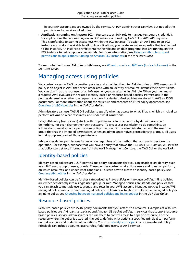in your IAM account and are owned by the service. An IAM administrator can view, but not edit the permissions for service-linked roles.

• **Applications running on Amazon EC2** – You can use an IAM role to manage temporary credentials for applications that are running on an EC2 instance and making AWS CLI or AWS API requests. This is preferable to storing access keys within the EC2 instance. To assign an AWS role to an EC2 instance and make it available to all of its applications, you create an instance profile that is attached to the instance. An instance profile contains the role and enables programs that are running on the EC2 instance to get temporary credentials. For more information, see [Using](https://docs.aws.amazon.com/IAM/latest/UserGuide/id_roles_use_switch-role-ec2.html) an IAM role to grant permissions to [applications](https://docs.aws.amazon.com/IAM/latest/UserGuide/id_roles_use_switch-role-ec2.html) running on Amazon EC2 instances in the *IAM User Guide*.

To learn whether to use IAM roles or IAM users, see When to create an IAM role [\(instead](https://docs.aws.amazon.com/IAM/latest/UserGuide/id.html#id_which-to-choose_role) of a user) in the *IAM User Guide*.

## <span id="page-25-0"></span>Managing access using policies

You control access in AWS by creating policies and attaching them to IAM identities or AWS resources. A policy is an object in AWS that, when associated with an identity or resource, defines their permissions. You can sign in as the root user or an IAM user, or you can assume an IAM role. When you then make a request, AWS evaluates the related identity-based or resource-based policies. Permissions in the policies determine whether the request is allowed or denied. Most policies are stored in AWS as JSON documents. For more information about the structure and contents of JSON policy documents, see [Overview](https://docs.aws.amazon.com/IAM/latest/UserGuide/access_policies.html#access_policies-json) of JSON policies in the *IAM User Guide*.

Administrators can use AWS JSON policies to specify who has access to what. That is, which **principal** can perform **actions** on what **resources**, and under what **conditions**.

Every IAM entity (user or role) starts with no permissions. In other words, by default, users can do nothing, not even change their own password. To give a user permission to do something, an administrator must attach a permissions policy to a user. Or the administrator can add the user to a group that has the intended permissions. When an administrator gives permissions to a group, all users in that group are granted those permissions.

IAM policies define permissions for an action regardless of the method that you use to perform the operation. For example, suppose that you have a policy that allows the iam:GetRole action. A user with that policy can get role information from the AWS Management Console, the AWS CLI, or the AWS API.

### Identity-based policies

Identity-based policies are JSON permissions policy documents that you can attach to an identity, such as an IAM user, group of users, or role. These policies control what actions users and roles can perform, on which resources, and under what conditions. To learn how to create an identity-based policy, see [Creating](https://docs.aws.amazon.com/IAM/latest/UserGuide/access_policies_create.html) IAM policies in the *IAM User Guide*.

Identity-based policies can be further categorized as *inline policies* or *managed policies*. Inline policies are embedded directly into a single user, group, or role. Managed policies are standalone policies that you can attach to multiple users, groups, and roles in your AWS account. Managed policies include AWS managed policies and customer managed policies. To learn how to choose between a managed policy or an inline policy, see Choosing between [managed](https://docs.aws.amazon.com/IAM/latest/UserGuide/access_policies_managed-vs-inline.html#choosing-managed-or-inline) policies and inline policies in the *IAM User Guide*.

### Resource-based policies

Resource-based policies are JSON policy documents that you attach to a resource. Examples of resourcebased policies are IAM *role trust policies* and Amazon S3 *bucket policies*. In services that support resourcebased policies, service administrators can use them to control access to a specific resource. For the resource where the policy is attached, the policy defines what actions a specified principal can perform on that resource and under what conditions. You must specify a [principal](https://docs.aws.amazon.com/IAM/latest/UserGuide/reference_policies_elements_principal.html) in a resource-based policy. Principals can include accounts, users, roles, federated users, or AWS services.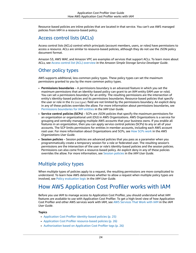Resource-based policies are inline policies that are located in that service. You can't use AWS managed policies from IAM in a resource-based policy.

### Access control lists (ACLs)

Access control lists (ACLs) control which principals (account members, users, or roles) have permissions to access a resource. ACLs are similar to resource-based policies, although they do not use the JSON policy document format.

Amazon S3, AWS WAF, and Amazon VPC are examples of services that support ACLs. To learn more about ACLs, see Access control list (ACL) [overview](https://docs.aws.amazon.com/AmazonS3/latest/dev/acl-overview.html) in the *Amazon Simple Storage Service Developer Guide*.

### Other policy types

AWS supports additional, less-common policy types. These policy types can set the maximum permissions granted to you by the more common policy types.

- **Permissions boundaries** A permissions boundary is an advanced feature in which you set the maximum permissions that an identity-based policy can grant to an IAM entity (IAM user or role). You can set a permissions boundary for an entity. The resulting permissions are the intersection of entity's identity-based policies and its permissions boundaries. Resource-based policies that specify the user or role in the Principal field are not limited by the permissions boundary. An explicit deny in any of these policies overrides the allow. For more information about permissions boundaries, see [Permissions](https://docs.aws.amazon.com/IAM/latest/UserGuide/access_policies_boundaries.html) boundaries for IAM entities in the *IAM User Guide*.
- **Service control policies (SCPs)** SCPs are JSON policies that specify the maximum permissions for an organization or organizational unit (OU) in AWS Organizations. AWS Organizations is a service for grouping and centrally managing multiple AWS accounts that your business owns. If you enable all features in an organization, then you can apply service control policies (SCPs) to any or all of your accounts. The SCP limits permissions for entities in member accounts, including each AWS account root user. For more information about Organizations and SCPs, see How SCPs [work](https://docs.aws.amazon.com/organizations/latest/userguide/orgs_manage_policies_about-scps.html) in the *AWS Organizations User Guide*.
- **Session policies** Session policies are advanced policies that you pass as a parameter when you programmatically create a temporary session for a role or federated user. The resulting session's permissions are the intersection of the user or role's identity-based policies and the session policies. Permissions can also come from a resource-based policy. An explicit deny in any of these policies overrides the allow. For more information, see [Session policies](https://docs.aws.amazon.com/IAM/latest/UserGuide/access_policies.html#policies_session) in the *IAM User Guide*.

### Multiple policy types

When multiple types of policies apply to a request, the resulting permissions are more complicated to understand. To learn how AWS determines whether to allow a request when multiple policy types are involved, see Policy [evaluation](https://docs.aws.amazon.com/IAM/latest/UserGuide/reference_policies_evaluation-logic.html) logic in the *IAM User Guide*.

## <span id="page-26-0"></span>How AWS Application Cost Profiler works with IAM

Before you use IAM to manage access to Application Cost Profiler, you should understand what IAM features are available to use with Application Cost Profiler. To get a high-level view of how Application Cost Profiler and other AWS services work with IAM, see AWS [Services](https://docs.aws.amazon.com/IAM/latest/UserGuide/reference_aws-services-that-work-with-iam.html) That Work with IAM in the *IAM User Guide*.

#### **Topics**

- Application Cost Profiler [identity-based](#page-27-0) policies (p. 25)
- Application Cost Profiler [resource-based](#page-28-1) policies (p. 26)
- [Authorization](#page-28-2) based on Application Cost Profiler tags (p. 26)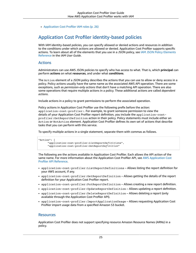• Application Cost Profiler IAM [roles \(p. 26\)](#page-28-3)

### <span id="page-27-0"></span>Application Cost Profiler identity-based policies

With IAM identity-based policies, you can specify allowed or denied actions and resources in addition to the conditions under which actions are allowed or denied. Application Cost Profiler supports specific actions. To learn about all of the elements that you use in a JSON policy, see IAM JSON Policy [Elements](https://docs.aws.amazon.com/IAM/latest/UserGuide/reference_policies_elements.html) [Reference](https://docs.aws.amazon.com/IAM/latest/UserGuide/reference_policies_elements.html) in the *IAM User Guide*.

### Actions

Administrators can use AWS JSON policies to specify who has access to what. That is, which **principal** can perform **actions** on what **resources**, and under what **conditions**.

The Action element of a JSON policy describes the actions that you can use to allow or deny access in a policy. Policy actions usually have the same name as the associated AWS API operation. There are some exceptions, such as *permission-only actions* that don't have a matching API operation. There are also some operations that require multiple actions in a policy. These additional actions are called *dependent actions*.

Include actions in a policy to grant permissions to perform the associated operation.

Policy actions in Application Cost Profiler use the following prefix before the action: application-cost-profiler:. For example, to grant someone permission to view the details of your Application Cost Profiler report definition, you include the application-costprofiler:GetReportDefinition action in their policy. Policy statements must include either an Action or NotAction element. Application Cost Profiler defines its own set of actions that describe tasks that you can perform with this service.

To specify multiple actions in a single statement, separate them with commas as follows.

```
"Action": [
       "application-cost-profiler:ListReportDefinitions",
       "application-cost-profiler:GetReportDefinition"
```
The following are the actions available in Application Cost Profiler. Each allows the API action of the same name. For more information about the Application Cost Profiler API, see AWS [Application](https://docs.aws.amazon.com/application-cost-profiler/latest/APIReference/Welcome.html) Cost Profiler API [Reference.](https://docs.aws.amazon.com/application-cost-profiler/latest/APIReference/Welcome.html)

- application-cost-profiler:ListReportDefinitions Allows listing the report definition for your AWS account, if any.
- application-cost-profiler:GetReportDefinition Allows getting the details of the report definition for your Application Cost Profiler report.
- application-cost-profiler:PutReportDefinition Allows creating a new report definition.
- application-cost-profiler:UpdateReportDefinition Allows updating a report definition.
- application-cost-profiler:DeleteReportDefinition Allows deleting a report (only available through the Application Cost Profiler API).
- application-cost-profiler:ImportApplicationUsage Allows requesting Application Cost Profiler import usage data from a specified Amazon S3 bucket.

### **Resources**

Application Cost Profiler does not support specifying resource Amazon Resource Names (ARNs) in a policy.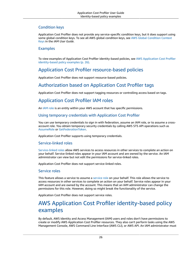### Condition keys

Application Cost Profiler does not provide any service-specific condition keys, but it does support using some global condition keys. To see all AWS global condition keys, see AWS Global [Condition](https://docs.aws.amazon.com/IAM/latest/UserGuide/reference_policies_condition-keys.html) Context [Keys](https://docs.aws.amazon.com/IAM/latest/UserGuide/reference_policies_condition-keys.html) in the *IAM User Guide*.

### Examples

To view examples of Application Cost Profiler identity-based policies, see AWS [Application](#page-28-0) Cost Profiler [identity-based](#page-28-0) policy example[s \(p. 26\)](#page-28-0).

### <span id="page-28-1"></span>Application Cost Profiler resource-based policies

Application Cost Profiler does not support resource-based policies.

### <span id="page-28-2"></span>Authorization based on Application Cost Profiler tags

Application Cost Profiler does not support tagging resources or controlling access based on tags.

### <span id="page-28-3"></span>Application Cost Profiler IAM roles

An [IAM](https://docs.aws.amazon.com/IAM/latest/UserGuide/id_roles.html) role is an entity within your AWS account that has specific permissions.

### Using temporary credentials with Application Cost Profiler

You can use temporary credentials to sign in with federation, assume an IAM role, or to assume a crossaccount role. You obtain temporary security credentials by calling AWS STS API operations such as [AssumeRole](https://docs.aws.amazon.com/STS/latest/APIReference/API_AssumeRole.html) or [GetFederationToken.](https://docs.aws.amazon.com/STS/latest/APIReference/API_GetFederationToken.html)

Application Cost Profiler supports using temporary credentials.

### Service-linked roles

[Service-linked](https://docs.aws.amazon.com/IAM/latest/UserGuide/id_roles_terms-and-concepts.html#iam-term-service-linked-role) roles allow AWS services to access resources in other services to complete an action on your behalf. Service-linked roles appear in your IAM account and are owned by the service. An IAM administrator can view but not edit the permissions for service-linked roles.

Application Cost Profiler does not support service-linked roles.

### Service roles

This feature allows a service to assume a [service](https://docs.aws.amazon.com/IAM/latest/UserGuide/id_roles_terms-and-concepts.html#iam-term-service-role) role on your behalf. This role allows the service to access resources in other services to complete an action on your behalf. Service roles appear in your IAM account and are owned by the account. This means that an IAM administrator can change the permissions for this role. However, doing so might break the functionality of the service.

Application Cost Profiler does not support service roles.

### <span id="page-28-0"></span>AWS Application Cost Profiler identity-based policy examples

By default, AWS Identity and Access Management (IAM) users and roles don't have permissions to create or modify AWS Application Cost Profiler resources. They also can't perform tasks using the AWS Management Console, AWS Command Line Interface (AWS CLI), or AWS API. An IAM administrator must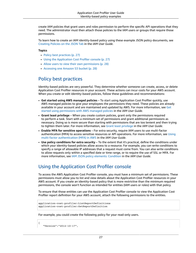create IAM policies that grant users and roles permission to perform the specific API operations that they need. The administrator must then attach those policies to the IAM users or groups that require those permissions.

To learn how to create an IAM identity-based policy using these example JSON policy documents, see [Creating](https://docs.aws.amazon.com/IAM/latest/UserGuide/access_policies_create.html#access_policies_create-json-editor) Policies on the JSON Tab in the *IAM User Guide*.

#### **Topics**

- Policy best [practices \(p. 27\)](#page-29-0)
- Using the Application Cost Profiler [console \(p. 27\)](#page-29-1)
- Allow users to view their own [permissions \(p. 28\)](#page-30-0)
- Accessing one Amazon S3 [bucket \(p. 28\)](#page-30-1)

### <span id="page-29-0"></span>Policy best practices

Identity-based policies are very powerful. They determine whether someone can create, access, or delete Application Cost Profiler resources in your account. These actions can incur costs for your AWS account. When you create or edit identity-based policies, follow these guidelines and recommendations:

- **Get started using AWS managed policies** To start using Application Cost Profiler quickly, use AWS managed policies to give your employees the permissions they need. These policies are already available in your account and are maintained and updated by AWS. For more information, see [Get](https://docs.aws.amazon.com/IAM/latest/UserGuide/best-practices.html#bp-use-aws-defined-policies) started using [permissions](https://docs.aws.amazon.com/IAM/latest/UserGuide/best-practices.html#bp-use-aws-defined-policies) with AWS managed policies in the *IAM User Guide*.
- **Grant least privilege** When you create custom policies, grant only the permissions required to perform a task. Start with a minimum set of permissions and grant additional permissions as necessary. Doing so is more secure than starting with permissions that are too lenient and then trying to tighten them later. For more information, see [Grant least privilege](https://docs.aws.amazon.com/IAM/latest/UserGuide/best-practices.html#grant-least-privilege) in the *IAM User Guide*.
- **Enable MFA for sensitive operations** For extra security, require IAM users to use multi-factor authentication (MFA) to access sensitive resources or API operations. For more information, see [Using](https://docs.aws.amazon.com/IAM/latest/UserGuide/id_credentials_mfa.html) multi-factor [authentication](https://docs.aws.amazon.com/IAM/latest/UserGuide/id_credentials_mfa.html) (MFA) in AWS in the *IAM User Guide*.
- **Use policy conditions for extra security** To the extent that it's practical, define the conditions under which your identity-based policies allow access to a resource. For example, you can write conditions to specify a range of allowable IP addresses that a request must come from. You can also write conditions to allow requests only within a specified date or time range, or to require the use of SSL or MFA. For more information, see IAM JSON policy elements: [Condition](https://docs.aws.amazon.com/IAM/latest/UserGuide/reference_policies_elements_condition.html) in the *IAM User Guide*.

### <span id="page-29-1"></span>Using the Application Cost Profiler console

To access the AWS Application Cost Profiler console, you must have a minimum set of permissions. These permissions must allow you to list and view details about the Application Cost Profiler resources in your AWS account. If you create an identity-based policy that is more restrictive than the minimum required permissions, the console won't function as intended for entities (IAM users or roles) with that policy.

To ensure that those entities can use the Application Cost Profiler console to view the Application Cost Profiler report definition for your AWS account, attach the following permissions to the entities.

```
application-cost-profiler:ListReportDefinitions
application-cost-profiler:GetReportDefinition
```
For example, you could create the following policy for your read-only users.

```
 "Version":"2012-10-17",
```
{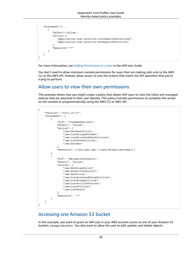```
 "Statement":[
       {
          "Effect":"Allow",
          "Action":[
              "application-cost-profiler:ListReportDefinitions",
              "application-cost-profiler:GetReportDefinition"
          ],
          "Resource":"*"
       }
    ]
}
```
For more information, see Adding [Permissions](https://docs.aws.amazon.com/IAM/latest/UserGuide/id_users_change-permissions.html#users_change_permissions-add-console) to a User in the *IAM User Guide*.

You don't need to allow minimum console permissions for users that are making calls only to the AWS CLI or the AWS API. Instead, allow access to only the actions that match the API operation that you're trying to perform.

### <span id="page-30-0"></span>Allow users to view their own permissions

This example shows how you might create a policy that allows IAM users to view the inline and managed policies that are attached to their user identity. This policy includes permissions to complete this action on the console or programmatically using the AWS CLI or AWS API.

```
{
     "Version": "2012-10-17",
     "Statement": [
\overline{\mathcal{L}} "Sid": "ViewOwnUserInfo",
              "Effect": "Allow",
              "Action": [
                  "iam:GetUserPolicy",
                  "iam:ListGroupsForUser",
                  "iam:ListAttachedUserPolicies",
                  "iam:ListUserPolicies",
                  "iam:GetUser"
              ],
              "Resource": ["arn:aws:iam::*:user/${aws:username}"]
         },
         {
              "Sid": "NavigateInConsole",
              "Effect": "Allow",
              "Action": [
                  "iam:GetGroupPolicy",
                  "iam:GetPolicyVersion",
                  "iam:GetPolicy",
                  "iam:ListAttachedGroupPolicies",
                  "iam:ListGroupPolicies",
                  "iam:ListPolicyVersions",
                  "iam:ListPolicies",
                  "iam:ListUsers"
 ],
              "Resource": "*"
         }
     ]
}
```
### <span id="page-30-1"></span>Accessing one Amazon S3 bucket

In this example, you want to grant an IAM user in your AWS account access to one of your Amazon S3 buckets, examplebucket. You also want to allow the user to add, update, and delete objects.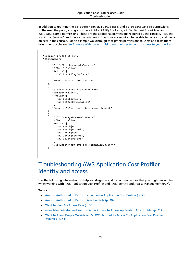In addition to granting the s3:PutObject, s3:GetObject, and s3:DeleteObject permissions to the user, the policy also grants the s3:ListAllMyBuckets, s3:GetBucketLocation, and s3:ListBucket permissions. These are the additional permissions required by the console. Also, the s3:PutObjectAcl and the s3:GetObjectAcl actions are required to be able to copy, cut, and paste objects in the console. For an example walkthrough that grants permissions to users and tests them using the console, see An Example [Walkthrough:](https://docs.aws.amazon.com/AmazonS3/latest/dev/walkthrough1.html) Using user policies to control access to your bucket.

```
{
    "Version":"2012-10-17",
    "Statement":[
       {
           "Sid":"ListBucketsInConsole",
           "Effect":"Allow",
           "Action":[
              "s3:ListAllMyBuckets"
           ],
           "Resource":"arn:aws:s3:::*"
       },
       {
           "Sid":"ViewSpecificBucketInfo",
           "Effect":"Allow",
           "Action":[
              "s3:ListBucket",
              "s3:GetBucketLocation"
           ],
           "Resource":"arn:aws:s3:::examplebucket"
       },
       {
           "Sid":"ManageBucketContents",
           "Effect":"Allow",
           "Action":[
              "s3:PutObject",
              "s3:PutObjectAcl",
              "s3:GetObject",
              "s3:GetObjectAcl",
              "s3:DeleteObject"
           ],
           "Resource":"arn:aws:s3:::examplebucket/*"
       }
    ]
}
```
## <span id="page-31-0"></span>Troubleshooting AWS Application Cost Profiler identity and access

Use the following information to help you diagnose and fix common issues that you might encounter when working with AWS Application Cost Profiler and AWS Identity and Access Management (IAM).

#### **Topics**

- I Am Not Authorized to Perform an Action in Application Cost [Profiler \(p. 30\)](#page-32-0)
- I Am Not Authorized to Perform [iam:PassRole \(p. 30\)](#page-32-1)
- I Want to View My Access [Keys \(p. 30\)](#page-32-2)
- I'm an Administrator and Want to Allow Others to Access Application Cost [Profiler \(p. 31\)](#page-33-1)
- I Want to Allow People Outside of My AWS Account to Access My [Application](#page-33-2) Cost Profiler [Resources \(p. 31\)](#page-33-2)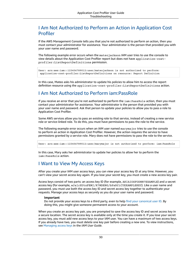### <span id="page-32-0"></span>I Am Not Authorized to Perform an Action in Application Cost Profiler

If the AWS Management Console tells you that you're not authorized to perform an action, then you must contact your administrator for assistance. Your administrator is the person that provided you with your user name and password.

The following example error occurs when the mateojackson IAM user tries to use the console to view details about the Application Cost Profiler report but does not have application-costprofiler:ListReportDefinitions permission.

```
User: arn:aws:iam::123456789012:user/mateojackson is not authorized to perform:
 application-cost-profiler:ListReportDefinitions on resource: Report Definition
```
In this case, Mateo asks his administrator to update his policies to allow him to access the report definition resource using the application-cost-profiler:ListReportDefinitions action.

### <span id="page-32-1"></span>I Am Not Authorized to Perform iam:PassRole

If you receive an error that you're not authorized to perform the iam:PassRole action, then you must contact your administrator for assistance. Your administrator is the person that provided you with your user name and password. Ask that person to update your policies to allow you to pass a role to Application Cost Profiler.

Some AWS services allow you to pass an existing role to that service, instead of creating a new service role or service-linked role. To do this, you must have permissions to pass the role to the service.

The following example error occurs when an IAM user named marymajor tries to use the console to perform an action in Application Cost Profiler. However, the action requires the service to have permissions granted by a service role. Mary does not have permissions to pass the role to the service.

User: arn:aws:iam::123456789012:user/marymajor is not authorized to perform: iam:PassRole

In this case, Mary asks her administrator to update her policies to allow her to perform the iam:PassRole action.

### <span id="page-32-2"></span>I Want to View My Access Keys

After you create your IAM user access keys, you can view your access key ID at any time. However, you can't view your secret access key again. If you lose your secret key, you must create a new access key pair.

Access keys consist of two parts: an access key ID (for example, AKIAIOSFODNN7EXAMPLE) and a secret access key (for example, wJalrXUtnFEMI/K7MDENG/bPxRfiCYEXAMPLEKEY). Like a user name and password, you must use both the access key ID and secret access key together to authenticate your requests. Manage your access keys as securely as you do your user name and password.

#### **Important**

Do not provide your access keys to a third party, even to help find your [canonical](https://docs.aws.amazon.com/general/latest/gr/acct-identifiers.html#FindingCanonicalId) user ID. By doing this, you might give someone permanent access to your account.

When you create an access key pair, you are prompted to save the access key ID and secret access key in a secure location. The secret access key is available only at the time you create it. If you lose your secret access key, you must add new access keys to your IAM user. You can have a maximum of two access keys. If you already have two, you must delete one key pair before creating a new one. To view instructions, see [Managing](https://docs.aws.amazon.com/IAM/latest/UserGuide/id_credentials_access-keys.html#Using_CreateAccessKey) access keys in the *IAM User Guide*.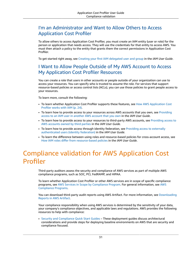### <span id="page-33-1"></span>I'm an Administrator and Want to Allow Others to Access Application Cost Profiler

To allow others to access Application Cost Profiler, you must create an IAM entity (user or role) for the person or application that needs access. They will use the credentials for that entity to access AWS. You must then attach a policy to the entity that grants them the correct permissions in Application Cost Profiler.

<span id="page-33-2"></span>To get started right away, see Creating your first IAM [delegated](https://docs.aws.amazon.com/IAM/latest/UserGuide/getting-started_create-delegated-user.html) user and group in the *IAM User Guide*.

### I Want to Allow People Outside of My AWS Account to Access My Application Cost Profiler Resources

You can create a role that users in other accounts or people outside of your organization can use to access your resources. You can specify who is trusted to assume the role. For services that support resource-based policies or access control lists (ACLs), you can use those policies to grant people access to your resources.

To learn more, consult the following:

- To learn whether Application Cost Profiler supports these features, see How AWS [Application](#page-26-0) Cost [Profiler](#page-26-0) works with IA[M \(p. 24\)](#page-26-0).
- To learn how to provide access to your resources across AWS accounts that you own, see [Providing](https://docs.aws.amazon.com/IAM/latest/UserGuide/id_roles_common-scenarios_aws-accounts.html) access to an IAM user in [another](https://docs.aws.amazon.com/IAM/latest/UserGuide/id_roles_common-scenarios_aws-accounts.html) AWS account that you own in the *IAM User Guide*.
- To learn how to provide access to your resources to third-party AWS accounts, see [Providing](https://docs.aws.amazon.com/IAM/latest/UserGuide/id_roles_common-scenarios_third-party.html) access to AWS [accounts](https://docs.aws.amazon.com/IAM/latest/UserGuide/id_roles_common-scenarios_third-party.html) owned by third parties in the *IAM User Guide*.
- To learn how to provide access through identity federation, see Providing access to [externally](https://docs.aws.amazon.com/IAM/latest/UserGuide/id_roles_common-scenarios_federated-users.html) [authenticated](https://docs.aws.amazon.com/IAM/latest/UserGuide/id_roles_common-scenarios_federated-users.html) users (identity federation) in the *IAM User Guide*.
- To learn the difference between using roles and resource-based policies for cross-account access, see How IAM roles differ from [resource-based](https://docs.aws.amazon.com/IAM/latest/UserGuide/id_roles_compare-resource-policies.html) policies in the *IAM User Guide*.

# <span id="page-33-0"></span>Compliance validation for AWS Application Cost Profiler

Third-party auditors assess the security and compliance of AWS services as part of multiple AWS compliance programs, such as SOC, PCI, FedRAMP, and HIPAA.

To learn whether Application Cost Profiler or other AWS services are in scope of specific compliance programs, see AWS Services in Scope by [Compliance](http://aws.amazon.com/compliance/services-in-scope/) Program. For general information, see [AWS](http://aws.amazon.com/compliance/programs/) [Compliance](http://aws.amazon.com/compliance/programs/) Programs.

You can download third-party audit reports using AWS Artifact. For more information, see [Downloading](https://docs.aws.amazon.com/artifact/latest/ug/downloading-documents.html) [Reports](https://docs.aws.amazon.com/artifact/latest/ug/downloading-documents.html) in AWS Artifact.

Your compliance responsibility when using AWS services is determined by the sensitivity of your data, your company's compliance objectives, and applicable laws and regulations. AWS provides the following resources to help with compliance:

• Security and [Compliance](http://aws.amazon.com/quickstart/?awsf.quickstart-homepage-filter=categories%23security-identity-compliance) Quick Start Guides – These deployment guides discuss architectural considerations and provide steps for deploying baseline environments on AWS that are security and compliance focused.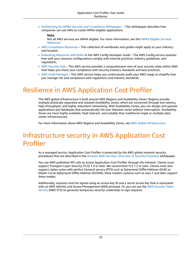• [Architecting](https://d0.awsstatic.com/whitepapers/compliance/AWS_HIPAA_Compliance_Whitepaper.pdf) for HIPAA Security and Compliance Whitepaper – This whitepaper describes how companies can use AWS to create HIPAA-eligible applications.

#### **Note**

Not all AWS services are HIPAA eligible. For more information, see the HIPAA Eligible [Services](https://aws.amazon.com/compliance/hipaa-eligible-services-reference/) [Reference](https://aws.amazon.com/compliance/hipaa-eligible-services-reference/).

- AWS [Compliance](http://aws.amazon.com/compliance/resources/) Resources This collection of workbooks and guides might apply to your industry and location.
- [Evaluating](https://docs.aws.amazon.com/config/latest/developerguide/evaluate-config.html) Resources with Rules in the *AWS Config Developer Guide* The AWS Config service assesses how well your resource configurations comply with internal practices, industry guidelines, and regulations.
- AWS [Security](https://docs.aws.amazon.com/securityhub/latest/userguide/what-is-securityhub.html) Hub This AWS service provides a comprehensive view of your security state within AWS that helps you check your compliance with security industry standards and best practices.
- AWS Audit [Manager](https://docs.aws.amazon.com/audit-manager/latest/userguide/what-is.html) This AWS service helps you continuously audit your AWS usage to simplify how you manage risk and compliance with regulations and industry standards.

# <span id="page-34-0"></span>Resilience in AWS Application Cost Profiler

The AWS global infrastructure is built around AWS Regions and Availability Zones. Regions provide multiple physically separated and isolated Availability Zones, which are connected through low-latency, high-throughput, and highly redundant networking. With Availability Zones, you can design and operate applications and databases that automatically fail over between zones without interruption. Availability Zones are more highly available, fault tolerant, and scalable than traditional single or multiple data center infrastructures.

For more information about AWS Regions and Availability Zones, see AWS Global [Infrastructure.](http://aws.amazon.com/about-aws/global-infrastructure/)

# <span id="page-34-1"></span>Infrastructure security in AWS Application Cost Profiler

As a managed service, Application Cost Profiler is protected by the AWS global network security procedures that are described in the Amazon Web Services: Overview of Security [Processes](https://d0.awsstatic.com/whitepapers/Security/AWS_Security_Whitepaper.pdf) whitepaper.

You use AWS published API calls to access Application Cost Profiler through the network. Clients must support Transport Layer Security (TLS) 1.0 or later. We recommend TLS 1.2 or later. Clients must also support cipher suites with perfect forward secrecy (PFS) such as Ephemeral Diffie-Hellman (DHE) or Elliptic Curve Ephemeral Diffie-Hellman (ECDHE). Most modern systems such as Java 7 and later support these modes.

Additionally, requests must be signed using an access key ID and a secret access key that is associated with an AWS Identity and Access Management (IAM) principal. Or you can use the AWS [Security](https://docs.aws.amazon.com/STS/latest/APIReference/Welcome.html) Token [Service](https://docs.aws.amazon.com/STS/latest/APIReference/Welcome.html) (AWS STS) to generate temporary security credentials to sign requests.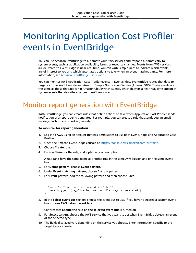# <span id="page-35-0"></span>Monitoring Application Cost Profiler events in EventBridge

You can use Amazon EventBridge to automate your AWS services and respond automatically to system events, such as application availability issues or resource changes. Events from AWS services are delivered to EventBridge in near-real time. You can write simple rules to indicate which events are of interest to you and which automated actions to take when an event matches a rule. For more information, see Amazon [EventBridge](https://docs.aws.amazon.com/eventbridge/latest/userguide/) User Guide.

You can monitor AWS Application Cost Profiler events in EventBridge. EventBridge routes that data to targets such as AWS Lambda and Amazon Simple Notification Service (Amazon SNS). These events are the same as those that appear in Amazon CloudWatch Events, which delivers a near-real-time stream of system events that describe changes in AWS resources.

# <span id="page-35-1"></span>Monitor report generation with EventBridge

With EventBridge, you can create rules that define actions to take when Application Cost Profiler sends notification of a report being generated. For example, you can create a rule that sends you an email message each time a report is generated.

### **To monitor for report generation**

- 1. Log in to AWS using an account that has permissions to use both EventBridge and Application Cost Profiler.
- 2. Open the Amazon EventBridge console at [https://console.aws.amazon.com/artifact/.](https://console.aws.amazon.com/events/)
- 3. Choose **Create rule**.
- 4. Enter a **Name** for the rule, and, optionally, a description.

A rule can't have the same name as another rule in the same AWS Region and on the same event bus.

- 5. For **Define pattern**, choose **Event pattern**.
- 6. Under **Event matching pattern**, choose **Custom pattern**.
- 7. For **Event pattern**, add the following pattern and then choose **Save**.

```
{
   "source": ["aws.application-cost-profiler"],
   "detail-type": ["Application Cost Profiler Report Generated"]
}
```
8. In the **Select event bus** section, choose the event bus to use. If you haven't created a custom event bus, choose **AWS default event bus**.

Confirm that **Enable the rule on the selected event bus** is turned on.

- 9. For **Select targets**, choose the AWS service that you want to act when EventBridge detects an event of the selected type.
- 10. The fields displayed vary depending on the service you choose. Enter information specific to the target type as needed.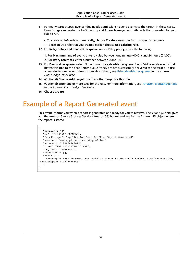- 11. For many target types, EventBridge needs permissions to send events to the target. In these cases, EventBridge can create the AWS Identity and Access Management (IAM) role that is needed for your rule to run.
	- To create an IAM role automatically, choose **Create a new role for this specific resource**.
	- To use an IAM role that you created earlier, choose **Use existing role**.
- 12. For **Retry policy and dead-letter queue**, under **Retry policy**, enter the following:
	- 1. For **Maximum age of event**, enter a value between one minute (00:01) and 24 hours (24:00).
	- 2. For **Retry attempts**, enter a number between 0 and 185.
- 13. For **Dead-letter queue**, select **None** to not use a dead-letter queue. EventBridge sends events that match this rule to the dead-letter queue if they are not successfully delivered to the target. To use a dead-letter queue, or to learn more about them, see Using [dead-letter](https://docs.aws.amazon.com/eventbridge/latest/userguide/eb-rule-dlq.html) queues in the *Amazon EventBridge User Guide*.
- 14. (Optional) Choose **Add target** to add another target for this rule.
- 15. (Optional) Enter one or more tags for the rule. For more information, see Amazon [EventBridge](https://docs.aws.amazon.com/eventbridge/latest/userguide/eb-tagging.html) tags in the *Amazon EventBridge User Guide*.
- 16. Choose **Create**.

## <span id="page-36-0"></span>Example of a Report Generated event

This event informs you when a report is generated and ready for you to retrieve. The message field gives you the Amazon Simple Storage Service (Amazon S3) bucket and key for the Amazon S3 object where the report is stored.

```
{
    "version": "0",
    "id": "01234567-EXAMPLE",
    "detail-type": "Application Cost Profiler Report Generated",
    "source": "aws.application-cost-profiler",
    "account": "123456789012",
    "time": "2021-03-31T10:23:43Z",
    "region": "us-east-1",
    "resources": [],
    "detail": {
      "message": "Application Cost Profiler report delivered in bucket: SampleBucket, key:
 SampleReport-112233445566"
   }
}
```